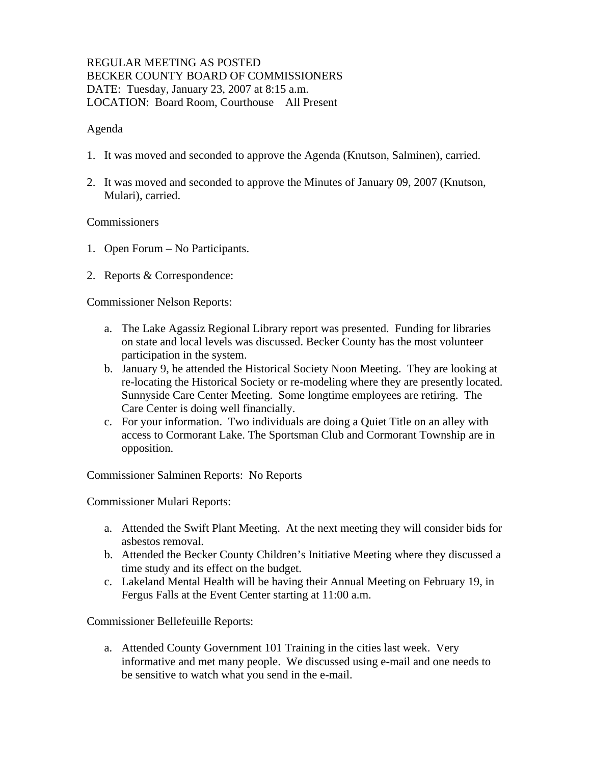## REGULAR MEETING AS POSTED BECKER COUNTY BOARD OF COMMISSIONERS DATE: Tuesday, January 23, 2007 at 8:15 a.m. LOCATION: Board Room, Courthouse All Present

#### Agenda

- 1. It was moved and seconded to approve the Agenda (Knutson, Salminen), carried.
- 2. It was moved and seconded to approve the Minutes of January 09, 2007 (Knutson, Mulari), carried.

#### Commissioners

- 1. Open Forum No Participants.
- 2. Reports & Correspondence:

Commissioner Nelson Reports:

- a. The Lake Agassiz Regional Library report was presented. Funding for libraries on state and local levels was discussed. Becker County has the most volunteer participation in the system.
- b. January 9, he attended the Historical Society Noon Meeting. They are looking at re-locating the Historical Society or re-modeling where they are presently located. Sunnyside Care Center Meeting. Some longtime employees are retiring. The Care Center is doing well financially.
- c. For your information. Two individuals are doing a Quiet Title on an alley with access to Cormorant Lake. The Sportsman Club and Cormorant Township are in opposition.

Commissioner Salminen Reports: No Reports

Commissioner Mulari Reports:

- a. Attended the Swift Plant Meeting. At the next meeting they will consider bids for asbestos removal.
- b. Attended the Becker County Children's Initiative Meeting where they discussed a time study and its effect on the budget.
- c. Lakeland Mental Health will be having their Annual Meeting on February 19, in Fergus Falls at the Event Center starting at 11:00 a.m.

Commissioner Bellefeuille Reports:

a. Attended County Government 101 Training in the cities last week. Very informative and met many people. We discussed using e-mail and one needs to be sensitive to watch what you send in the e-mail.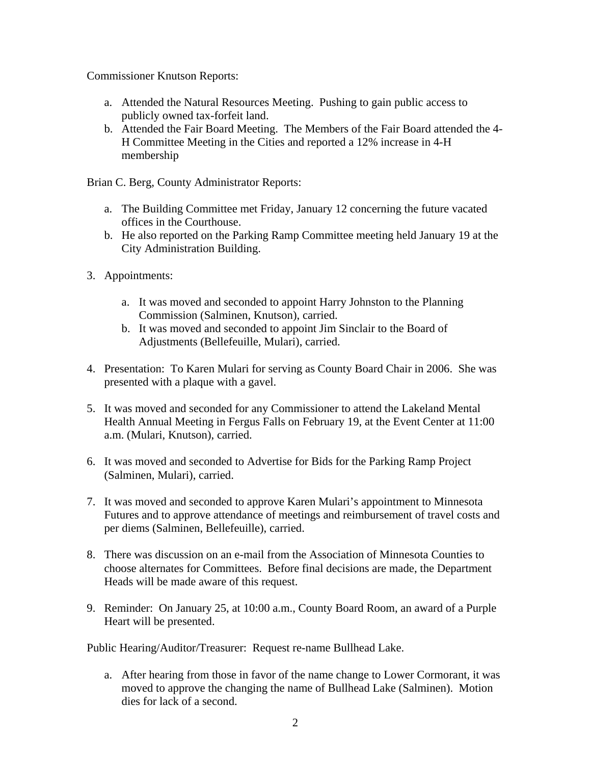Commissioner Knutson Reports:

- a. Attended the Natural Resources Meeting. Pushing to gain public access to publicly owned tax-forfeit land.
- b. Attended the Fair Board Meeting. The Members of the Fair Board attended the 4- H Committee Meeting in the Cities and reported a 12% increase in 4-H membership

Brian C. Berg, County Administrator Reports:

- a. The Building Committee met Friday, January 12 concerning the future vacated offices in the Courthouse.
- b. He also reported on the Parking Ramp Committee meeting held January 19 at the City Administration Building.
- 3. Appointments:
	- a. It was moved and seconded to appoint Harry Johnston to the Planning Commission (Salminen, Knutson), carried.
	- b. It was moved and seconded to appoint Jim Sinclair to the Board of Adjustments (Bellefeuille, Mulari), carried.
- 4. Presentation: To Karen Mulari for serving as County Board Chair in 2006. She was presented with a plaque with a gavel.
- 5. It was moved and seconded for any Commissioner to attend the Lakeland Mental Health Annual Meeting in Fergus Falls on February 19, at the Event Center at 11:00 a.m. (Mulari, Knutson), carried.
- 6. It was moved and seconded to Advertise for Bids for the Parking Ramp Project (Salminen, Mulari), carried.
- 7. It was moved and seconded to approve Karen Mulari's appointment to Minnesota Futures and to approve attendance of meetings and reimbursement of travel costs and per diems (Salminen, Bellefeuille), carried.
- 8. There was discussion on an e-mail from the Association of Minnesota Counties to choose alternates for Committees. Before final decisions are made, the Department Heads will be made aware of this request.
- 9. Reminder: On January 25, at 10:00 a.m., County Board Room, an award of a Purple Heart will be presented.

Public Hearing/Auditor/Treasurer: Request re-name Bullhead Lake.

a. After hearing from those in favor of the name change to Lower Cormorant, it was moved to approve the changing the name of Bullhead Lake (Salminen). Motion dies for lack of a second.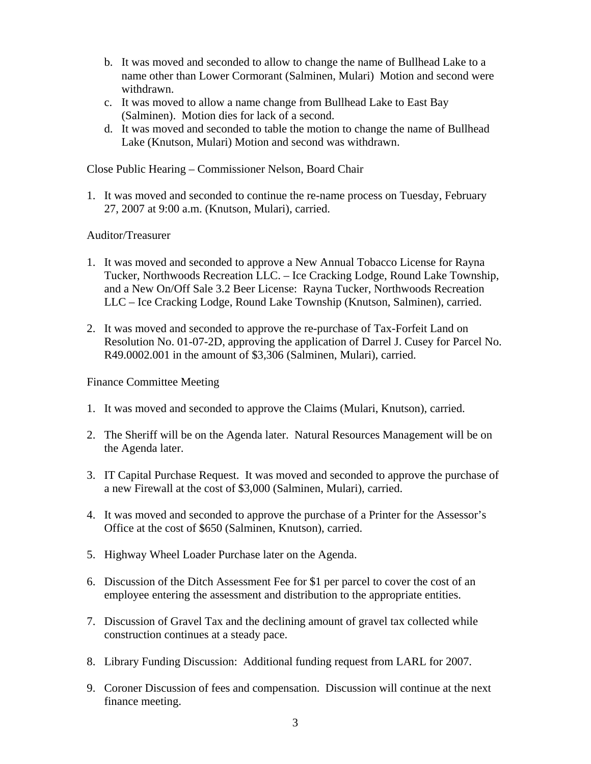- b. It was moved and seconded to allow to change the name of Bullhead Lake to a name other than Lower Cormorant (Salminen, Mulari) Motion and second were withdrawn.
- c. It was moved to allow a name change from Bullhead Lake to East Bay (Salminen). Motion dies for lack of a second.
- d. It was moved and seconded to table the motion to change the name of Bullhead Lake (Knutson, Mulari) Motion and second was withdrawn.

Close Public Hearing – Commissioner Nelson, Board Chair

1. It was moved and seconded to continue the re-name process on Tuesday, February 27, 2007 at 9:00 a.m. (Knutson, Mulari), carried.

## Auditor/Treasurer

- 1. It was moved and seconded to approve a New Annual Tobacco License for Rayna Tucker, Northwoods Recreation LLC. – Ice Cracking Lodge, Round Lake Township, and a New On/Off Sale 3.2 Beer License: Rayna Tucker, Northwoods Recreation LLC – Ice Cracking Lodge, Round Lake Township (Knutson, Salminen), carried.
- 2. It was moved and seconded to approve the re-purchase of Tax-Forfeit Land on Resolution No. 01-07-2D, approving the application of Darrel J. Cusey for Parcel No. R49.0002.001 in the amount of \$3,306 (Salminen, Mulari), carried.

Finance Committee Meeting

- 1. It was moved and seconded to approve the Claims (Mulari, Knutson), carried.
- 2. The Sheriff will be on the Agenda later. Natural Resources Management will be on the Agenda later.
- 3. IT Capital Purchase Request. It was moved and seconded to approve the purchase of a new Firewall at the cost of \$3,000 (Salminen, Mulari), carried.
- 4. It was moved and seconded to approve the purchase of a Printer for the Assessor's Office at the cost of \$650 (Salminen, Knutson), carried.
- 5. Highway Wheel Loader Purchase later on the Agenda.
- 6. Discussion of the Ditch Assessment Fee for \$1 per parcel to cover the cost of an employee entering the assessment and distribution to the appropriate entities.
- 7. Discussion of Gravel Tax and the declining amount of gravel tax collected while construction continues at a steady pace.
- 8. Library Funding Discussion: Additional funding request from LARL for 2007.
- 9. Coroner Discussion of fees and compensation. Discussion will continue at the next finance meeting.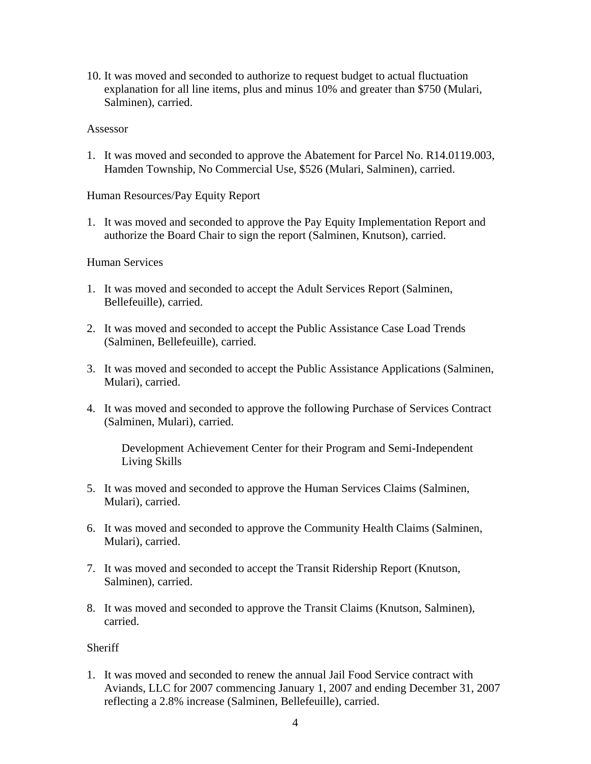10. It was moved and seconded to authorize to request budget to actual fluctuation explanation for all line items, plus and minus 10% and greater than \$750 (Mulari, Salminen), carried.

#### Assessor

1. It was moved and seconded to approve the Abatement for Parcel No. R14.0119.003, Hamden Township, No Commercial Use, \$526 (Mulari, Salminen), carried.

Human Resources/Pay Equity Report

1. It was moved and seconded to approve the Pay Equity Implementation Report and authorize the Board Chair to sign the report (Salminen, Knutson), carried.

### Human Services

- 1. It was moved and seconded to accept the Adult Services Report (Salminen, Bellefeuille), carried.
- 2. It was moved and seconded to accept the Public Assistance Case Load Trends (Salminen, Bellefeuille), carried.
- 3. It was moved and seconded to accept the Public Assistance Applications (Salminen, Mulari), carried.
- 4. It was moved and seconded to approve the following Purchase of Services Contract (Salminen, Mulari), carried.

Development Achievement Center for their Program and Semi-Independent Living Skills

- 5. It was moved and seconded to approve the Human Services Claims (Salminen, Mulari), carried.
- 6. It was moved and seconded to approve the Community Health Claims (Salminen, Mulari), carried.
- 7. It was moved and seconded to accept the Transit Ridership Report (Knutson, Salminen), carried.
- 8. It was moved and seconded to approve the Transit Claims (Knutson, Salminen), carried.

### **Sheriff**

1. It was moved and seconded to renew the annual Jail Food Service contract with Aviands, LLC for 2007 commencing January 1, 2007 and ending December 31, 2007 reflecting a 2.8% increase (Salminen, Bellefeuille), carried.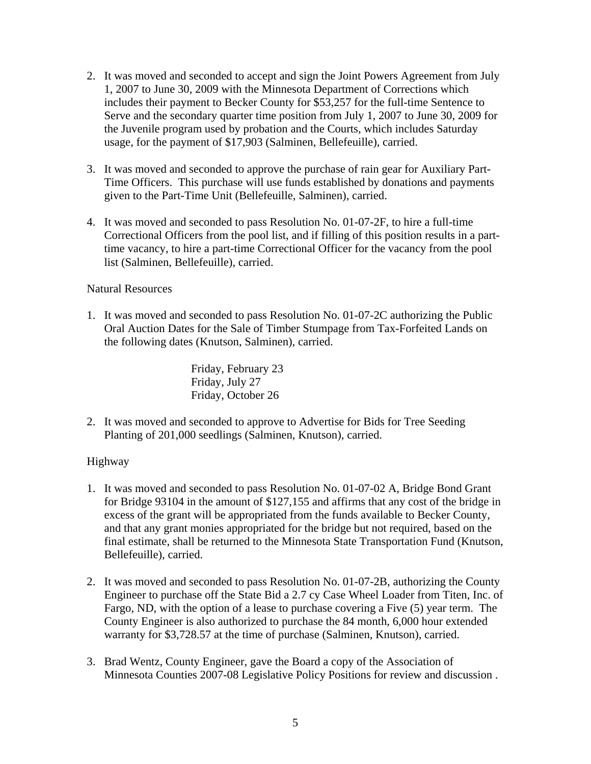- 2. It was moved and seconded to accept and sign the Joint Powers Agreement from July 1, 2007 to June 30, 2009 with the Minnesota Department of Corrections which includes their payment to Becker County for \$53,257 for the full-time Sentence to Serve and the secondary quarter time position from July 1, 2007 to June 30, 2009 for the Juvenile program used by probation and the Courts, which includes Saturday usage, for the payment of \$17,903 (Salminen, Bellefeuille), carried.
- 3. It was moved and seconded to approve the purchase of rain gear for Auxiliary Part-Time Officers. This purchase will use funds established by donations and payments given to the Part-Time Unit (Bellefeuille, Salminen), carried.
- 4. It was moved and seconded to pass Resolution No. 01-07-2F, to hire a full-time Correctional Officers from the pool list, and if filling of this position results in a parttime vacancy, to hire a part-time Correctional Officer for the vacancy from the pool list (Salminen, Bellefeuille), carried.

## Natural Resources

1. It was moved and seconded to pass Resolution No. 01-07-2C authorizing the Public Oral Auction Dates for the Sale of Timber Stumpage from Tax-Forfeited Lands on the following dates (Knutson, Salminen), carried.

> Friday, February 23 Friday, July 27 Friday, October 26

2. It was moved and seconded to approve to Advertise for Bids for Tree Seeding Planting of 201,000 seedlings (Salminen, Knutson), carried.

# Highway

- 1. It was moved and seconded to pass Resolution No. 01-07-02 A, Bridge Bond Grant for Bridge 93104 in the amount of \$127,155 and affirms that any cost of the bridge in excess of the grant will be appropriated from the funds available to Becker County, and that any grant monies appropriated for the bridge but not required, based on the final estimate, shall be returned to the Minnesota State Transportation Fund (Knutson, Bellefeuille), carried.
- 2. It was moved and seconded to pass Resolution No. 01-07-2B, authorizing the County Engineer to purchase off the State Bid a 2.7 cy Case Wheel Loader from Titen, Inc. of Fargo, ND, with the option of a lease to purchase covering a Five (5) year term. The County Engineer is also authorized to purchase the 84 month, 6,000 hour extended warranty for \$3,728.57 at the time of purchase (Salminen, Knutson), carried.
- 3. Brad Wentz, County Engineer, gave the Board a copy of the Association of Minnesota Counties 2007-08 Legislative Policy Positions for review and discussion .